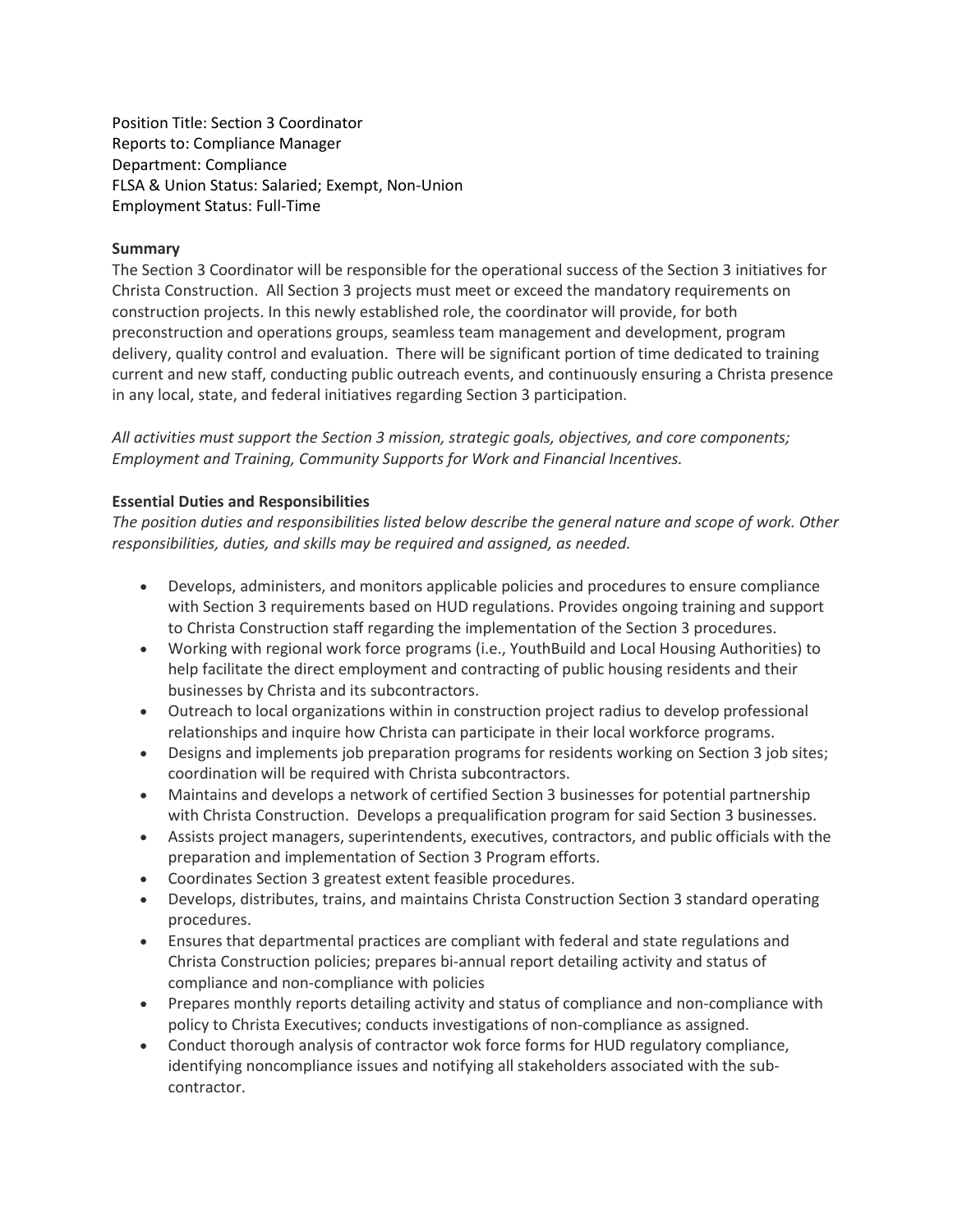Position Title: Section 3 Coordinator Reports to: Compliance Manager Department: Compliance FLSA & Union Status: Salaried; Exempt, Non-Union Employment Status: Full-Time

## **Summary**

The Section 3 Coordinator will be responsible for the operational success of the Section 3 initiatives for Christa Construction. All Section 3 projects must meet or exceed the mandatory requirements on construction projects. In this newly established role, the coordinator will provide, for both preconstruction and operations groups, seamless team management and development, program delivery, quality control and evaluation. There will be significant portion of time dedicated to training current and new staff, conducting public outreach events, and continuously ensuring a Christa presence in any local, state, and federal initiatives regarding Section 3 participation.

*All activities must support the Section 3 mission, strategic goals, objectives, and core components; Employment and Training, Community Supports for Work and Financial Incentives.*

## **Essential Duties and Responsibilities**

*The position duties and responsibilities listed below describe the general nature and scope of work. Other responsibilities, duties, and skills may be required and assigned, as needed.*

- Develops, administers, and monitors applicable policies and procedures to ensure compliance with Section 3 requirements based on HUD regulations. Provides ongoing training and support to Christa Construction staff regarding the implementation of the Section 3 procedures.
- Working with regional work force programs (i.e., YouthBuild and Local Housing Authorities) to help facilitate the direct employment and contracting of public housing residents and their businesses by Christa and its subcontractors.
- Outreach to local organizations within in construction project radius to develop professional relationships and inquire how Christa can participate in their local workforce programs.
- Designs and implements job preparation programs for residents working on Section 3 job sites; coordination will be required with Christa subcontractors.
- Maintains and develops a network of certified Section 3 businesses for potential partnership with Christa Construction. Develops a prequalification program for said Section 3 businesses.
- Assists project managers, superintendents, executives, contractors, and public officials with the preparation and implementation of Section 3 Program efforts.
- Coordinates Section 3 greatest extent feasible procedures.
- Develops, distributes, trains, and maintains Christa Construction Section 3 standard operating procedures.
- Ensures that departmental practices are compliant with federal and state regulations and Christa Construction policies; prepares bi-annual report detailing activity and status of compliance and non-compliance with policies
- Prepares monthly reports detailing activity and status of compliance and non-compliance with policy to Christa Executives; conducts investigations of non-compliance as assigned.
- Conduct thorough analysis of contractor wok force forms for HUD regulatory compliance, identifying noncompliance issues and notifying all stakeholders associated with the subcontractor.